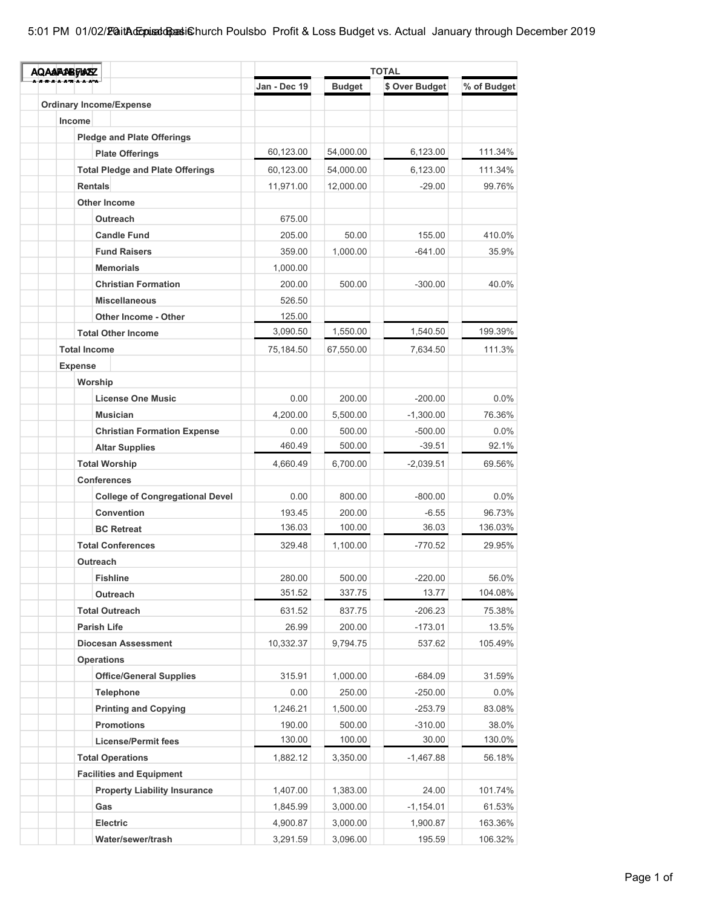| <b>AQAAFABFASZ</b>  |                                                      | <b>TOTAL</b>     |                  |                    |                   |  |
|---------------------|------------------------------------------------------|------------------|------------------|--------------------|-------------------|--|
|                     |                                                      | Jan - Dec 19     | <b>Budget</b>    | \$ Over Budget     | % of Budget       |  |
|                     | <b>Ordinary Income/Expense</b>                       |                  |                  |                    |                   |  |
| Income              |                                                      |                  |                  |                    |                   |  |
|                     | <b>Pledge and Plate Offerings</b>                    |                  |                  |                    |                   |  |
|                     | <b>Plate Offerings</b>                               | 60,123.00        | 54,000.00        | 6,123.00           | 111.34%           |  |
|                     | <b>Total Pledge and Plate Offerings</b>              | 60,123.00        | 54,000.00        | 6,123.00           | 111.34%           |  |
| <b>Rentals</b>      |                                                      | 11,971.00        | 12,000.00        | $-29.00$           | 99.76%            |  |
|                     | <b>Other Income</b>                                  |                  |                  |                    |                   |  |
|                     | Outreach                                             | 675.00           |                  |                    |                   |  |
|                     | <b>Candle Fund</b>                                   | 205.00           | 50.00            | 155.00             | 410.0%            |  |
|                     | <b>Fund Raisers</b>                                  | 359.00           | 1,000.00         | $-641.00$          | 35.9%             |  |
|                     | <b>Memorials</b>                                     | 1,000.00         |                  |                    |                   |  |
|                     | <b>Christian Formation</b>                           | 200.00           | 500.00           | $-300.00$          | 40.0%             |  |
|                     | <b>Miscellaneous</b>                                 | 526.50           |                  |                    |                   |  |
|                     | Other Income - Other                                 | 125.00           |                  |                    |                   |  |
|                     | <b>Total Other Income</b>                            | 3,090.50         | 1,550.00         | 1,540.50           | 199.39%           |  |
| <b>Total Income</b> |                                                      | 75,184.50        | 67,550.00        | 7,634.50           | 111.3%            |  |
| <b>Expense</b>      |                                                      |                  |                  |                    |                   |  |
| Worship             |                                                      |                  |                  |                    |                   |  |
|                     | <b>License One Music</b>                             | 0.00             | 200.00           | $-200.00$          | $0.0\%$           |  |
|                     | <b>Musician</b>                                      | 4,200.00         | 5,500.00         | $-1,300.00$        | 76.36%            |  |
|                     | <b>Christian Formation Expense</b>                   | 0.00             | 500.00           | $-500.00$          | $0.0\%$           |  |
|                     | <b>Altar Supplies</b>                                | 460.49           | 500.00           | $-39.51$           | 92.1%             |  |
|                     | <b>Total Worship</b>                                 | 4,660.49         | 6,700.00         | $-2,039.51$        | 69.56%            |  |
|                     | <b>Conferences</b>                                   |                  |                  |                    |                   |  |
|                     |                                                      |                  |                  |                    |                   |  |
|                     | <b>College of Congregational Devel</b><br>Convention | 0.00             | 800.00           | $-800.00$          | $0.0\%$           |  |
|                     |                                                      | 193.45<br>136.03 | 200.00<br>100.00 | $-6.55$<br>36.03   | 96.73%<br>136.03% |  |
|                     | <b>BC Retreat</b>                                    |                  |                  |                    |                   |  |
|                     | <b>Total Conferences</b>                             | 329.48           | 1,100.00         | $-770.52$          | 29.95%            |  |
|                     | Outreach                                             |                  |                  |                    |                   |  |
|                     | <b>Fishline</b>                                      | 280.00<br>351.52 | 500.00<br>337.75 | $-220.00$<br>13.77 | 56.0%<br>104.08%  |  |
|                     | Outreach                                             |                  |                  |                    |                   |  |
|                     | <b>Total Outreach</b>                                | 631.52           | 837.75           | $-206.23$          | 75.38%            |  |
|                     | <b>Parish Life</b>                                   | 26.99            | 200.00           | $-173.01$          | 13.5%             |  |
|                     | <b>Diocesan Assessment</b>                           | 10,332.37        | 9,794.75         | 537.62             | 105.49%           |  |
|                     | <b>Operations</b>                                    |                  |                  |                    |                   |  |
|                     | <b>Office/General Supplies</b>                       | 315.91           | 1,000.00         | $-684.09$          | 31.59%            |  |
|                     | <b>Telephone</b>                                     | 0.00             | 250.00           | $-250.00$          | $0.0\%$           |  |
|                     | <b>Printing and Copying</b>                          | 1,246.21         | 1,500.00         | $-253.79$          | 83.08%            |  |
|                     | <b>Promotions</b>                                    | 190.00           | 500.00           | $-310.00$          | 38.0%             |  |
|                     | <b>License/Permit fees</b>                           | 130.00           | 100.00           | 30.00              | 130.0%            |  |
|                     | <b>Total Operations</b>                              | 1,882.12         | 3,350.00         | $-1,467.88$        | 56.18%            |  |
|                     | <b>Facilities and Equipment</b>                      |                  |                  |                    |                   |  |
|                     | <b>Property Liability Insurance</b>                  | 1,407.00         | 1,383.00         | 24.00              | 101.74%           |  |
|                     | Gas                                                  | 1,845.99         | 3,000.00         | $-1,154.01$        | 61.53%            |  |
|                     | Electric                                             | 4,900.87         | 3,000.00         | 1,900.87           | 163.36%           |  |
|                     | Water/sewer/trash                                    | 3,291.59         | 3,096.00         | 195.59             | 106.32%           |  |